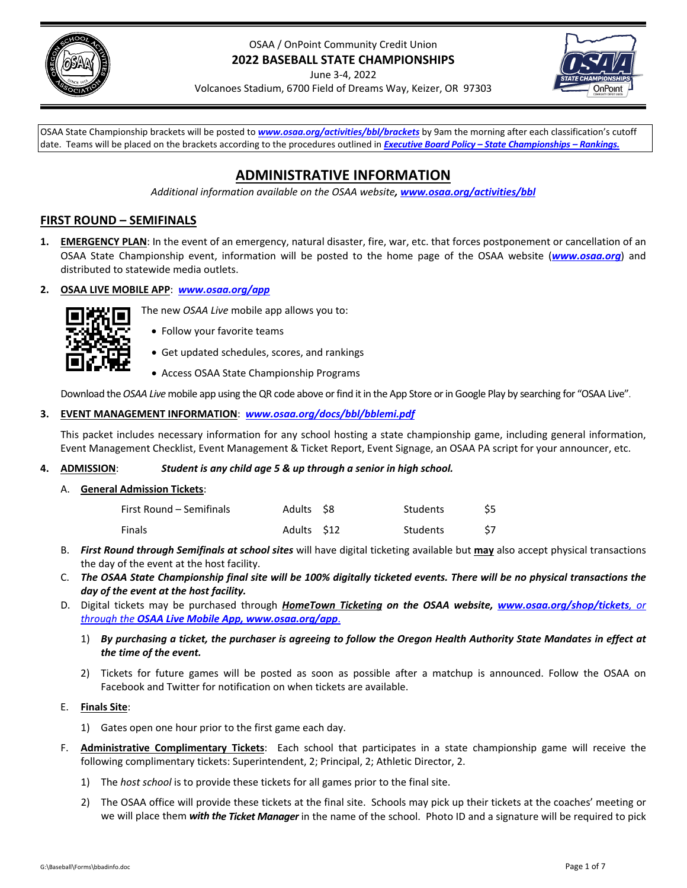

# OSAA / OnPoint Community Credit Union **2022 BASEBALL STATE CHAMPIONSHIPS**

June 3‐4, 2022



Volcanoes Stadium, 6700 Field of Dreams Way, Keizer, OR 97303

OSAA State Championship brackets will be posted to *[www.osaa.org/activities/bbl/brackets](https://www.osaa.org/activities/bbl/brackets)* by 9am the morning after each classification's cutoff date. Teams will be placed on the brackets according to the procedures outlined in *Executive Board Policy – State [Championships](https://www.osaa.org/governance/handbooks/osaa#_Toc456100456) – Rankings.*

# **ADMINISTRATIVE INFORMATION**

*Additional information available on the OSAA website, [www.osaa.org/activities/bbl](https://www.osaa.org/activities/bbl)*

# **FIRST ROUND – SEMIFINALS**

- **1. EMERGENCY PLAN**: In the event of an emergency, natural disaster, fire, war, etc. that forces postponement or cancellation of an OSAA State Championship event, information will be posted to the home page of the OSAA website (*[www.osaa.org](https://www.osaa.org)*) and distributed to statewide media outlets.
- **2. OSAA LIVE MOBILE APP**: *[www.osaa.org/app](https://www.osaa.org/app)*



- Follow your favorite teams
- Get updated schedules, scores, and rankings

The new *OSAA Live* mobile app allows you to:

Access OSAA State Championship Programs

Download the OSAA Live mobile app using the QR code above or find it in the App Store or in Google Play by searching for "OSAA Live".

## **3. EVENT MANAGEMENT INFORMATION**: *[www.osaa.org/docs/bbl/bblemi.pdf](https://www.osaa.org/docs/bbl/bblemi.pdf)*

This packet includes necessary information for any school hosting a state championship game, including general information, Event Management Checklist, Event Management & Ticket Report, Event Signage, an OSAA PA script for your announcer, etc.

## **4. ADMISSION**: *Student is any child age 5 & up through a senior in high school.*

A. **General Admission Tickets**:

| First Round – Semifinals | Adults \$8  | Students |  |
|--------------------------|-------------|----------|--|
| Finals                   | Adults \$12 | Students |  |

- B. *First Round through Semifinals at school sites* will have digital ticketing available but **may** also accept physical transactions the day of the event at the host facility.
- C. The OSAA State Championship final site will be 100% digitally ticketed events. There will be no physical transactions the *day of the event at the host facility.*
- D. Digital tickets may be purchased through *HomeTown Ticketing on the OSAA website, [www.osaa.org/shop/tickets](https://www.osaa.org/shop/tickets), or through the OSAA Live Mobile App, [www.osaa.org/app](https://www.osaa/org/app)*.
	- 1) By purchasing a ticket, the purchaser is agreeing to follow the Oregon Health Authority State Mandates in effect at *the time of the event.*
	- 2) Tickets for future games will be posted as soon as possible after a matchup is announced. Follow the OSAA on Facebook and Twitter for notification on when tickets are available.

## E. **Finals Site**:

- 1) Gates open one hour prior to the first game each day.
- F. **Administrative Complimentary Tickets**: Each school that participates in a state championship game will receive the following complimentary tickets: Superintendent, 2; Principal, 2; Athletic Director, 2.
	- 1) The *host school* is to provide these tickets for all games prior to the final site.
	- 2) The OSAA office will provide these tickets at the final site. Schools may pick up their tickets at the coaches' meeting or we will place them *with the Ticket Manager* in the name of the school.Photo ID and a signature will be required to pick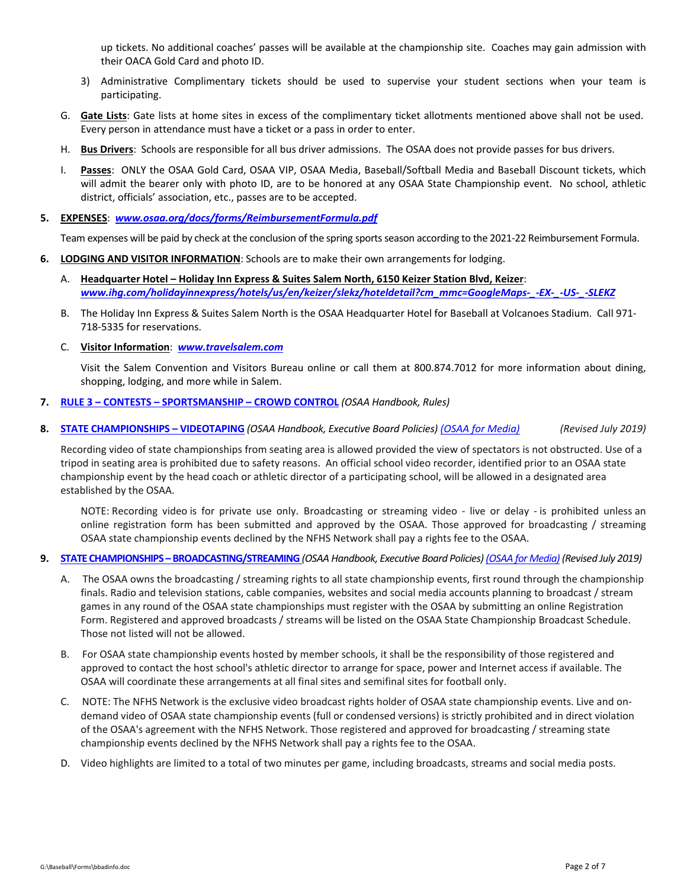up tickets. No additional coaches' passes will be available at the championship site. Coaches may gain admission with their OACA Gold Card and photo ID.

- 3) Administrative Complimentary tickets should be used to supervise your student sections when your team is participating.
- G. **Gate Lists**: Gate lists at home sites in excess of the complimentary ticket allotments mentioned above shall not be used. Every person in attendance must have a ticket or a pass in order to enter.
- H. **Bus Drivers**: Schools are responsible for all bus driver admissions. The OSAA does not provide passes for bus drivers.
- I. **Passes**: ONLY the OSAA Gold Card, OSAA VIP, OSAA Media, Baseball/Softball Media and Baseball Discount tickets, which will admit the bearer only with photo ID, are to be honored at any OSAA State Championship event. No school, athletic district, officials' association, etc., passes are to be accepted.
- **5. EXPENSES**: *[www.osaa.org/docs/forms/ReimbursementFormula.pdf](https://www.osaa.org/docs/forms/ReimbursementFormula.pdf)*

Team expenses will be paid by check at the conclusion of the spring sports season according to the 2021-22 Reimbursement Formula.

- **6. LODGING AND VISITOR INFORMATION**: Schools are to make their own arrangements for lodging.
	- A. **Headquarter Hotel – Holiday Inn Express & Suites Salem North, 6150 Keizer Station Blvd, Keizer**: *[www.ihg.com/holidayinnexpress/hotels/us/en/keizer/slekz/hoteldetail?cm\\_mmc=GoogleMaps](https://www.ihg.com/holidayinnexpress/hotels/us/en/keizer/slekz/hoteldetail?cm_mmc=GoogleMaps-_-EX-_-US-_-SLEKZ)‐\_‐EX‐\_‐US‐\_‐SLEKZ*
	- B. The Holiday Inn Express & Suites Salem North is the OSAA Headquarter Hotel for Baseball at Volcanoes Stadium. Call 971‐ 718‐5335 for reservations.
	- C. **Visitor Information**: *[www.travelsalem.com](https://www.travelsalem.com)*

Visit the Salem Convention and Visitors Bureau online or call them at 800.874.7012 for more information about dining, shopping, lodging, and more while in Salem.

#### **7. RULE 3 – CONTESTS – [SPORTSMANSHIP](https://www.osaa.org/governance/handbooks/osaa#_Toc456100266) – CROWD CONTROL** *(OSAA Handbook, Rules)*

8. STATE [CHAMPIONSHIPS](https://www.osaa.org/governance/handbooks/osaa#_Toc456100461) - VIDEOTAPING (OSAA Handbook, Executive Board Policies) (OSAA for [Media\)](https://www.osaa.org/media) (Revised July 2019)

Recording video of state championships from seating area is allowed provided the view of spectators is not obstructed. Use of a tripod in seating area is prohibited due to safety reasons. An official school video recorder, identified prior to an OSAA state championship event by the head coach or athletic director of a participating school, will be allowed in a designated area established by the OSAA.

NOTE: Recording video is for private use only. Broadcasting or streaming video - live or delay - is prohibited unless an online registration form has been submitted and approved by the OSAA. Those approved for broadcasting / streaming OSAA state championship events declined by the NFHS Network shall pay a rights fee to the OSAA.

#### 9. STATE CHAMPIONSHIPS - [BROADCASTING/STREAMING](https://www.osaa.org/governance/handbooks/osaa#_Toc456100455) (OSAA Handbook, Executive Board Policies) (OSAA for [Media\)](https://www.osaa.org/media) (Revised July 2019)

- A. The OSAA owns the broadcasting / streaming rights to all state championship events, first round through the championship finals. Radio and television stations, cable companies, websites and social media accounts planning to broadcast / stream games in any round of the OSAA state championships must register with the OSAA by submitting an online Registration Form. Registered and approved broadcasts / streams will be listed on the OSAA State Championship Broadcast Schedule. Those not listed will not be allowed.
- B. For OSAA state championship events hosted by member schools, it shall be the responsibility of those registered and approved to contact the host school's athletic director to arrange for space, power and Internet access if available. The OSAA will coordinate these arrangements at all final sites and semifinal sites for football only.
- C. NOTE: The NFHS Network is the exclusive video broadcast rights holder of OSAA state championship events. Live and on‐ demand video of OSAA state championship events (full or condensed versions) is strictly prohibited and in direct violation of the OSAA's agreement with the NFHS Network. Those registered and approved for broadcasting / streaming state championship events declined by the NFHS Network shall pay a rights fee to the OSAA.
- D. Video highlights are limited to a total of two minutes per game, including broadcasts, streams and social media posts.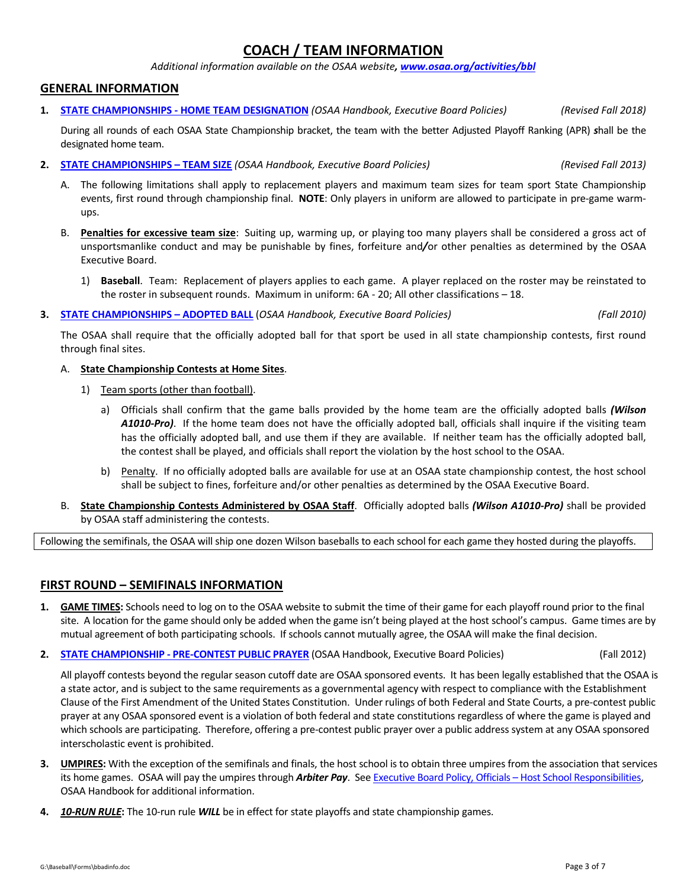# **COACH / TEAM INFORMATION**

*Additional information available on the OSAA website, [www.osaa.org/activities/bbl](https://www.osaa.org/activities/bbl)*

## **GENERAL INFORMATION**

**1. STATE [CHAMPIONSHIPS](https://www.osaa.org/governance/handbooks/osaa#_Toc456100447) ‐ HOME TEAM DESIGNATION** *(OSAA Handbook, Executive Board Policies)* *(Revised Fall 2018)*

During all rounds of each OSAA State Championship bracket, the team with the better Adjusted Playoff Ranking (APR) *s*hall be the designated home team.

- **2. STATE [CHAMPIONSHIPS](https://www.osaa.org/governance/handbooks/osaa#_Toc456100459) – TEAM SIZE** *(OSAA Handbook, Executive Board Policies) (Revised Fall 2013)*
	- A. The following limitations shall apply to replacement players and maximum team sizes for team sport State Championship events, first round through championship final. **NOTE**: Only players in uniform are allowed to participate in pre-game warmups.
	- B. **Penalties for excessive team size**: Suiting up, warming up, or playing too many players shall be considered a gross act of unsportsmanlike conduct and may be punishable by fines, forfeiture and*/*or other penalties as determined by the OSAA Executive Board.
		- 1) **Baseball**. Team: Replacement of players applies to each game. A player replaced on the roster may be reinstated to the roster in subsequent rounds. Maximum in uniform: 6A ‐ 20; All other classifications – 18.
- **3. STATE [CHAMPIONSHIPS](https://www.osaa.org/governance/handbooks/osaa#_Toc456100435) – ADOPTED BALL** (*OSAA Handbook, Executive Board Policies) (Fall 2010)*

The OSAA shall require that the officially adopted ball for that sport be used in all state championship contests, first round through final sites.

- A. **State Championship Contests at Home Sites**.
	- 1) Team sports (other than football).
		- a) Officials shall confirm that the game balls provided by the home team are the officially adopted balls *(Wilson A1010‐Pro)*. If the home team does not have the officially adopted ball, officials shall inquire if the visiting team has the officially adopted ball, and use them if they are available. If neither team has the officially adopted ball, the contest shall be played, and officials shall report the violation by the host school to the OSAA.
		- b) Penalty. If no officially adopted balls are available for use at an OSAA state championship contest, the host school shall be subject to fines, forfeiture and/or other penalties as determined by the OSAA Executive Board.
- B. **State Championship Contests Administered by OSAA Staff**. Officially adopted balls *(Wilson A1010‐Pro)* shall be provided by OSAA staff administering the contests.

Following the semifinals, the OSAA will ship one dozen Wilson baseballs to each school for each game they hosted during the playoffs.

## **FIRST ROUND – SEMIFINALS INFORMATION**

- **1. GAME TIMES:** Schools need to log on to the OSAA website to submit the time of their game for each playoff round prior to the final site. A location for the game should only be added when the game isn't being played at the host school's campus. Game times are by mutual agreement of both participating schools. If schools cannot mutually agree, the OSAA will make the final decision.
- **2. STATE [CHAMPIONSHIP](https://www.osaa.org/governance/handbooks/osaa#_Toc456100453) ‐ PRE‐CONTEST PUBLIC PRAYER** (OSAA Handbook, Executive Board Policies) (Fall 2012)

All playoff contests beyond the regular season cutoff date are OSAA sponsored events. It has been legally established that the OSAA is a state actor, and is subject to the same requirements as a governmental agency with respect to compliance with the Establishment Clause of the First Amendment of the United States Constitution. Under rulings of both Federal and State Courts, a pre‐contest public prayer at any OSAA sponsored event is a violation of both federal and state constitutions regardless of where the game is played and which schools are participating. Therefore, offering a pre-contest public prayer over a public address system at any OSAA sponsored interscholastic event is prohibited.

- **3. UMPIRES:** With the exception of the semifinals and finals, the host school is to obtain three umpires from the association that services its home games. OSAA will pay the umpires through *Arbiter Pay*. See Executive Board Policy, Officials – Host School [Responsibilities,](https://www.osaa.org/governance/handbooks/osaa#_Toc456100410) OSAA Handbook for additional information.
- **4.** *10‐RUN RULE***:** The 10‐run rule *WILL* be in effect for state playoffs and state championship games.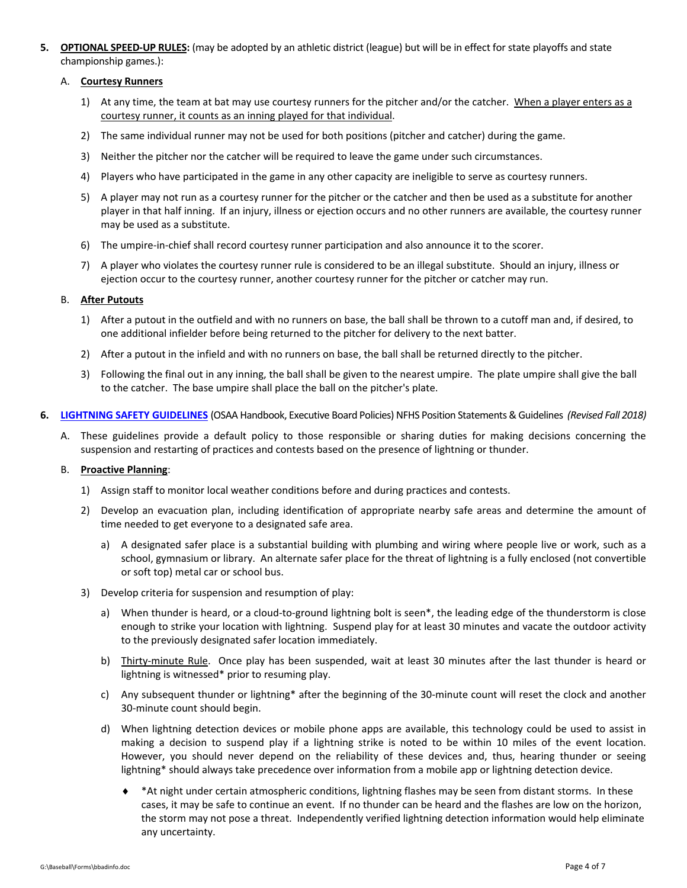**5. OPTIONAL SPEED‐UP RULES:** (may be adopted by an athletic district (league) but will be in effect for state playoffs and state championship games.):

#### A. **Courtesy Runners**

- 1) At any time, the team at bat may use courtesy runners for the pitcher and/or the catcher. When a player enters as a courtesy runner, it counts as an inning played for that individual.
- 2) The same individual runner may not be used for both positions (pitcher and catcher) during the game.
- 3) Neither the pitcher nor the catcher will be required to leave the game under such circumstances.
- 4) Players who have participated in the game in any other capacity are ineligible to serve as courtesy runners.
- 5) A player may not run as a courtesy runner for the pitcher or the catcher and then be used as a substitute for another player in that half inning. If an injury, illness or ejection occurs and no other runners are available, the courtesy runner may be used as a substitute.
- 6) The umpire‐in‐chief shall record courtesy runner participation and also announce it to the scorer.
- 7) A player who violates the courtesy runner rule is considered to be an illegal substitute. Should an injury, illness or ejection occur to the courtesy runner, another courtesy runner for the pitcher or catcher may run.

#### B. **After Putouts**

- 1) After a putout in the outfield and with no runners on base, the ball shall be thrown to a cutoff man and, if desired, to one additional infielder before being returned to the pitcher for delivery to the next batter.
- 2) After a putout in the infield and with no runners on base, the ball shall be returned directly to the pitcher.
- 3) Following the final out in any inning, the ball shall be given to the nearest umpire. The plate umpire shall give the ball to the catcher. The base umpire shall place the ball on the pitcher's plate.
- **6. LIGHTNING SAFETY [GUIDELINES](https://www.osaa.org/governance/handbooks/osaa#_Toc456100397)** (OSAA Handbook, Executive Board Policies) NFHS Position Statements&Guidelines *(Revised Fall 2018)*
	- A. These guidelines provide a default policy to those responsible or sharing duties for making decisions concerning the suspension and restarting of practices and contests based on the presence of lightning or thunder.

#### B. **Proactive Planning**:

- 1) Assign staff to monitor local weather conditions before and during practices and contests.
- 2) Develop an evacuation plan, including identification of appropriate nearby safe areas and determine the amount of time needed to get everyone to a designated safe area.
	- a) A designated safer place is a substantial building with plumbing and wiring where people live or work, such as a school, gymnasium or library. An alternate safer place for the threat of lightning is a fully enclosed (not convertible or soft top) metal car or school bus.
- 3) Develop criteria for suspension and resumption of play:
	- a) When thunder is heard, or a cloud-to-ground lightning bolt is seen\*, the leading edge of the thunderstorm is close enough to strike your location with lightning. Suspend play for at least 30 minutes and vacate the outdoor activity to the previously designated safer location immediately.
	- b) Thirty-minute Rule. Once play has been suspended, wait at least 30 minutes after the last thunder is heard or lightning is witnessed\* prior to resuming play.
	- c) Any subsequent thunder or lightning\* after the beginning of the 30‐minute count will reset the clock and another 30‐minute count should begin.
	- d) When lightning detection devices or mobile phone apps are available, this technology could be used to assist in making a decision to suspend play if a lightning strike is noted to be within 10 miles of the event location. However, you should never depend on the reliability of these devices and, thus, hearing thunder or seeing lightning\* should always take precedence over information from a mobile app or lightning detection device.
		- \*At night under certain atmospheric conditions, lightning flashes may be seen from distant storms. In these cases, it may be safe to continue an event. If no thunder can be heard and the flashes are low on the horizon, the storm may not pose a threat. Independently verified lightning detection information would help eliminate any uncertainty.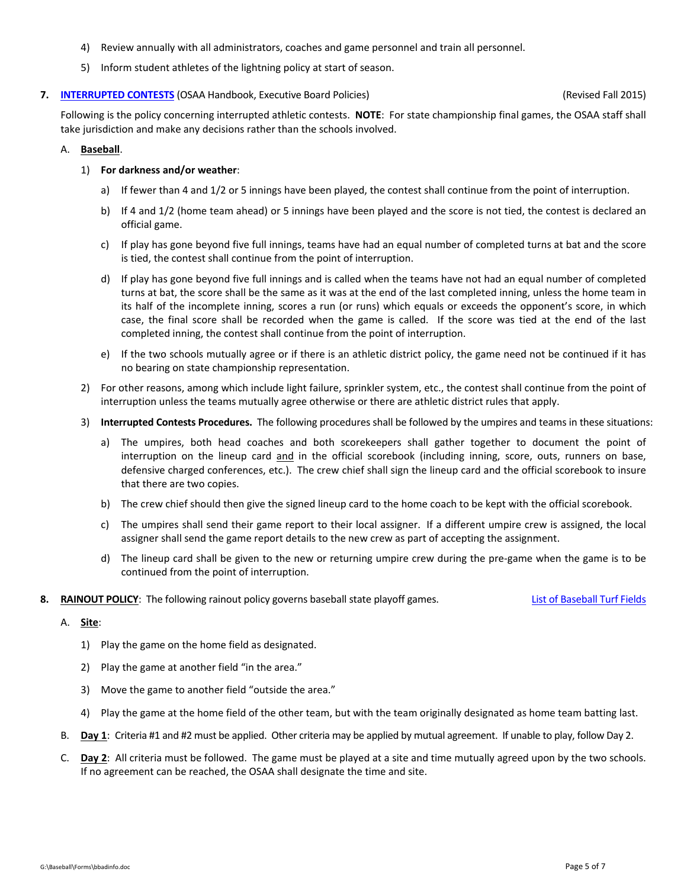- 4) Review annually with all administrators, coaches and game personnel and train all personnel.
- 5) Inform student athletes of the lightning policy at start of season.

#### **7. [INTERRUPTED](https://www.osaa.org/governance/handbooks/osaa#_Toc456100396) CONTESTS** (OSAA Handbook, Executive Board Policies) (Revised Fall 2015)

Following is the policy concerning interrupted athletic contests. **NOTE**: For state championship final games, the OSAA staff shall take jurisdiction and make any decisions rather than the schools involved.

### A. **Baseball**.

## 1) **For darkness and/or weather**:

- a) If fewer than 4 and 1/2 or 5 innings have been played, the contest shall continue from the point of interruption.
- b) If 4 and 1/2 (home team ahead) or 5 innings have been played and the score is not tied, the contest is declared an official game.
- c) If play has gone beyond five full innings, teams have had an equal number of completed turns at bat and the score is tied, the contest shall continue from the point of interruption.
- d) If play has gone beyond five full innings and is called when the teams have not had an equal number of completed turns at bat, the score shall be the same as it was at the end of the last completed inning, unless the home team in its half of the incomplete inning, scores a run (or runs) which equals or exceeds the opponent's score, in which case, the final score shall be recorded when the game is called. If the score was tied at the end of the last completed inning, the contest shall continue from the point of interruption.
- e) If the two schools mutually agree or if there is an athletic district policy, the game need not be continued if it has no bearing on state championship representation.
- 2) For other reasons, among which include light failure, sprinkler system, etc., the contest shall continue from the point of interruption unless the teams mutually agree otherwise or there are athletic district rules that apply.
- 3) **Interrupted Contests Procedures.** The following procedures shall be followed by the umpires and teams in these situations:
	- a) The umpires, both head coaches and both scorekeepers shall gather together to document the point of interruption on the lineup card and in the official scorebook (including inning, score, outs, runners on base, defensive charged conferences, etc.). The crew chief shall sign the lineup card and the official scorebook to insure that there are two copies.
	- b) The crew chief should then give the signed lineup card to the home coach to be kept with the official scorebook.
	- c) The umpires shall send their game report to their local assigner. If a different umpire crew is assigned, the local assigner shall send the game report details to the new crew as part of accepting the assignment.
	- d) The lineup card shall be given to the new or returning umpire crew during the pre‐game when the game is to be continued from the point of interruption.
- **8. RAINOUT POLICY**: The following rainout policy governs baseball state playoff games. List of [Baseball](https://www.osaa.org/docs/broadcast/BBSBTurfFields.pdf) Turf Fields

#### A. **Site**:

- 1) Play the game on the home field as designated.
- 2) Play the game at another field "in the area."
- 3) Move the game to another field "outside the area."
- 4) Play the game at the home field of the other team, but with the team originally designated as home team batting last.
- B. **Day 1**: Criteria #1 and #2 must be applied. Other criteria may be applied by mutual agreement. If unable to play, follow Day 2.
- C. **Day 2**: All criteria must be followed. The game must be played at a site and time mutually agreed upon by the two schools. If no agreement can be reached, the OSAA shall designate the time and site.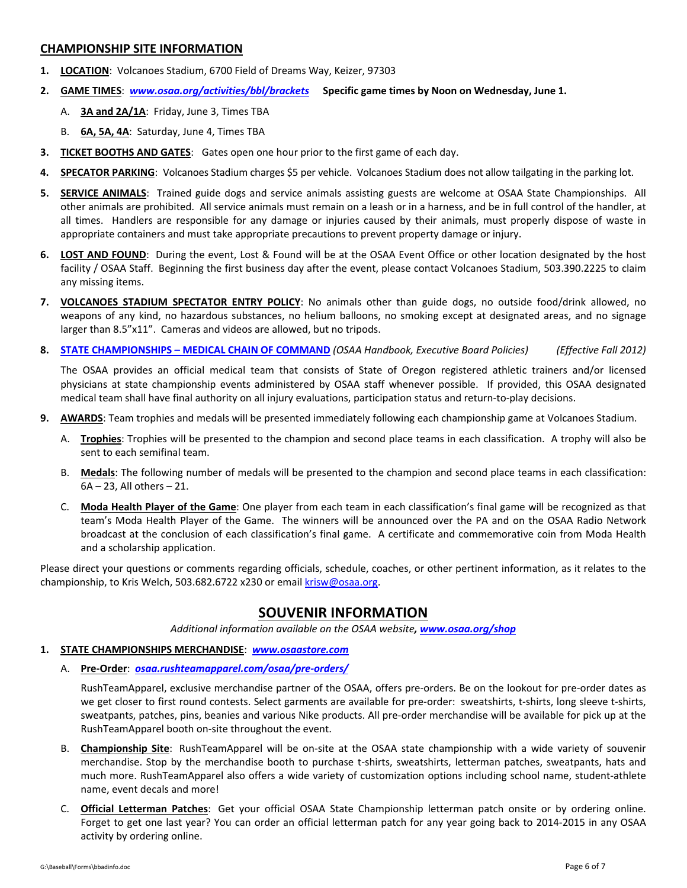## **CHAMPIONSHIP SITE INFORMATION**

- **1. LOCATION**: Volcanoes Stadium, 6700 Field of Dreams Way, Keizer, 97303
- **2. GAME TIMES**: *[www.osaa.org/activities/bbl/brackets](https://www.osaa.org/activities/bbl/brackets)* **Specific game times by Noon on Wednesday, June 1.** 
	- A. **3A and 2A/1A**: Friday, June 3, Times TBA
	- B. **6A, 5A, 4A**: Saturday, June 4, Times TBA
- **3. TICKET BOOTHS AND GATES**: Gates open one hour prior to the first game of each day.
- **4. SPECATOR PARKING**: Volcanoes Stadium charges \$5 per vehicle. Volcanoes Stadium does not allow tailgating in the parking lot.
- **5. SERVICE ANIMALS**: Trained guide dogs and service animals assisting guests are welcome at OSAA State Championships. All other animals are prohibited. All service animals must remain on a leash or in a harness, and be in full control of the handler, at all times. Handlers are responsible for any damage or injuries caused by their animals, must properly dispose of waste in appropriate containers and must take appropriate precautions to prevent property damage or injury.
- **6. LOST AND FOUND**: During the event, Lost & Found will be at the OSAA Event Office or other location designated by the host facility / OSAA Staff. Beginning the first business day after the event, please contact Volcanoes Stadium, 503.390.2225 to claim any missing items.
- **7. VOLCANOES STADIUM SPECTATOR ENTRY POLICY**: No animals other than guide dogs, no outside food/drink allowed, no weapons of any kind, no hazardous substances, no helium balloons, no smoking except at designated areas, and no signage larger than 8.5"x11". Cameras and videos are allowed, but no tripods.
- 8. STATE [CHAMPIONSHIPS](https://www.osaa.org/governance/handbooks/osaa#_Toc456100449) MEDICAL CHAIN OF COMMAND (OSAA Handbook, Executive Board Policies) (Effective Fall 2012)

The OSAA provides an official medical team that consists of State of Oregon registered athletic trainers and/or licensed physicians at state championship events administered by OSAA staff whenever possible. If provided, this OSAA designated medical team shall have final authority on all injury evaluations, participation status and return‐to‐play decisions.

- **9. AWARDS**: Team trophies and medals will be presented immediately following each championship game at Volcanoes Stadium.
	- A. **Trophies**: Trophies will be presented to the champion and second place teams in each classification. A trophy will also be sent to each semifinal team.
	- B. **Medals**: The following number of medals will be presented to the champion and second place teams in each classification: 6A – 23, All others – 21.
	- C. **Moda Health Player of the Game**: One player from each team in each classification's final game will be recognized as that team's Moda Health Player of the Game. The winners will be announced over the PA and on the OSAA Radio Network broadcast at the conclusion of each classification's final game. A certificate and commemorative coin from Moda Health and a scholarship application.

Please direct your questions or comments regarding officials, schedule, coaches, or other pertinent information, as it relates to the championship, to Kris Welch, 503.682.6722 x230 or email krisw@osaa.org.

# **SOUVENIR INFORMATION**

*Additional information available on the OSAA website, [www.osaa.org/shop](https://www.osaa.org/shop)*

- **1. STATE CHAMPIONSHIPS MERCHANDISE**: *[www.osaastore.com](https://www.osaastore.com)*
	- A. **Pre‐Order**:*[osaa.rushteamapparel.com/osaa/pre](https://osaa.rushteamapparel.com/osaa/pre-orders/)‐orders/*

RushTeamApparel, exclusive merchandise partner of the OSAA, offers pre‐orders. Be on the lookout for pre‐order dates as we get closer to first round contests. Select garments are available for pre-order: sweatshirts, t-shirts, long sleeve t-shirts, sweatpants, patches, pins, beanies and various Nike products. All pre‐order merchandise will be available for pick up at the RushTeamApparel booth on‐site throughout the event.

- B. **Championship Site**: RushTeamApparel will be on‐site at the OSAA state championship with a wide variety of souvenir merchandise. Stop by the merchandise booth to purchase t-shirts, sweatshirts, letterman patches, sweatpants, hats and much more. RushTeamApparel also offers a wide variety of customization options including school name, student‐athlete name, event decals and more!
- C. **Official Letterman Patches**: Get your official OSAA State Championship letterman patch onsite or by ordering online. Forget to get one last year? You can order an official letterman patch for any year going back to 2014‐2015 in any OSAA activity by ordering online.